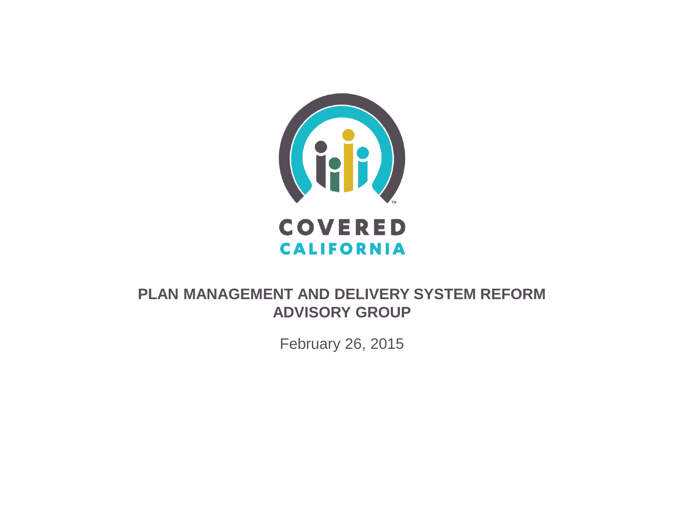

#### **PLAN MANAGEMENT AND DELIVERY SYSTEM REFORM ADVISORY GROUP**

February 26, 2015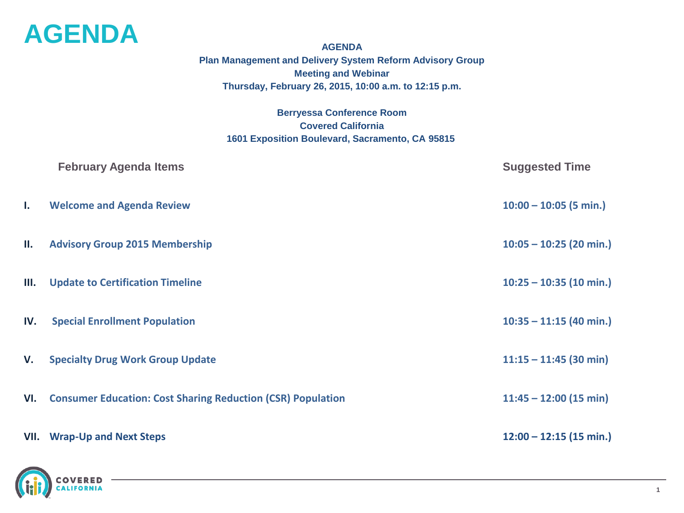

**AGENDA Plan Management and Delivery System Reform Advisory Group Meeting and Webinar Thursday, February 26, 2015, 10:00 a.m. to 12:15 p.m.**

**Berryessa Conference Room Covered California 1601 Exposition Boulevard, Sacramento, CA 95815**

|     | <b>February Agenda Items</b>                                       | <b>Suggested Time</b>     |
|-----|--------------------------------------------------------------------|---------------------------|
| Ι.  | <b>Welcome and Agenda Review</b>                                   | $10:00 - 10:05$ (5 min.)  |
| П.  | <b>Advisory Group 2015 Membership</b>                              | $10:05 - 10:25$ (20 min.) |
| Ш.  | <b>Update to Certification Timeline</b>                            | $10:25 - 10:35$ (10 min.) |
| IV. | <b>Special Enrollment Population</b>                               | $10:35 - 11:15$ (40 min.) |
| V.  | <b>Specialty Drug Work Group Update</b>                            | $11:15 - 11:45$ (30 min)  |
| VI. | <b>Consumer Education: Cost Sharing Reduction (CSR) Population</b> | $11:45 - 12:00$ (15 min)  |
|     | <b>VII.</b> Wrap-Up and Next Steps                                 | $12:00 - 12:15$ (15 min.) |

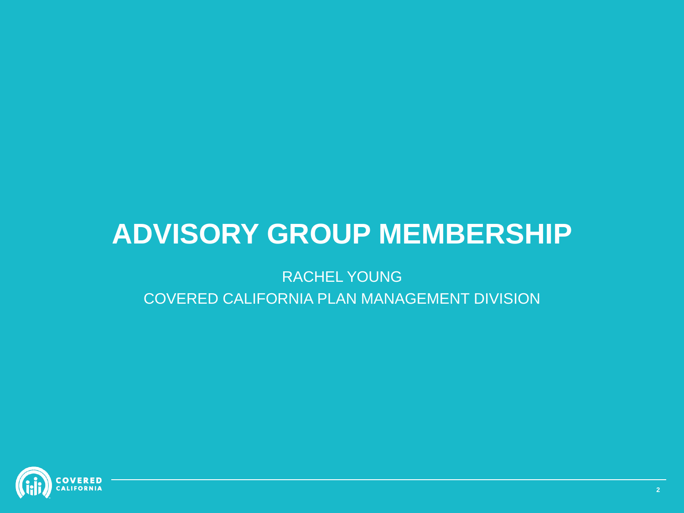## **ADVISORY GROUP MEMBERSHIP**

### RACHEL YOUNG COVERED CALIFORNIA PLAN MANAGEMENT DIVISION

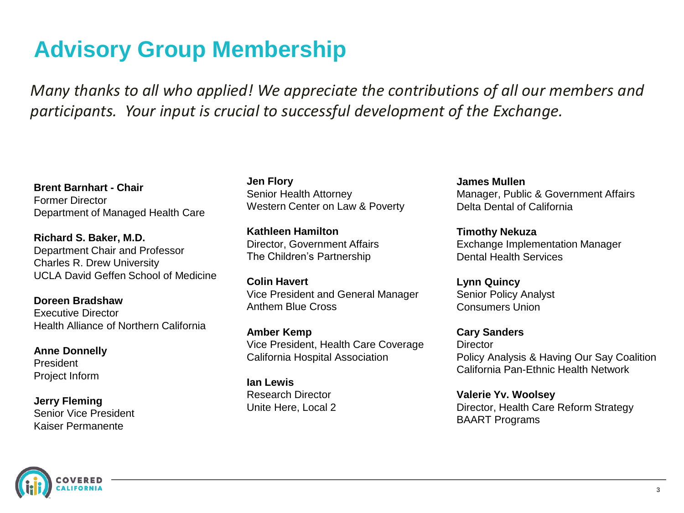### **Advisory Group Membership**

*Many thanks to all who applied! We appreciate the contributions of all our members and participants. Your input is crucial to successful development of the Exchange.* 

**Brent Barnhart - Chair** Former Director Department of Managed Health Care

**Richard S. Baker, M.D.** Department Chair and Professor Charles R. Drew University UCLA David Geffen School of Medicine

**Doreen Bradshaw** Executive Director Health Alliance of Northern California

**Anne Donnelly** President Project Inform

**Jerry Fleming** Senior Vice President Kaiser Permanente

**Jen Flory** Senior Health Attorney Western Center on Law & Poverty

**Kathleen Hamilton** Director, Government Affairs The Children's Partnership

**Colin Havert** Vice President and General Manager Anthem Blue Cross

**Amber Kemp** Vice President, Health Care Coverage California Hospital Association

**Ian Lewis** Research Director Unite Here, Local 2

**James Mullen** Manager, Public & Government Affairs Delta Dental of California

**Timothy Nekuza** Exchange Implementation Manager Dental Health Services

**Lynn Quincy** Senior Policy Analyst Consumers Union

**Cary Sanders Director** Policy Analysis & Having Our Say Coalition California Pan-Ethnic Health Network

**Valerie Yv. Woolsey** Director, Health Care Reform Strategy BAART Programs

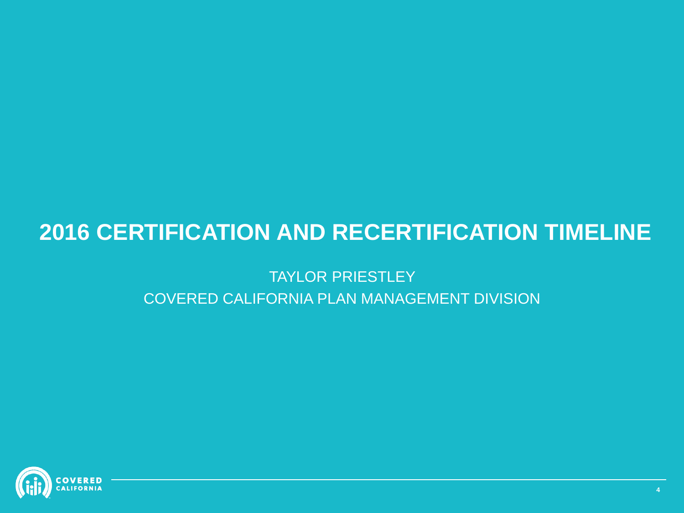### **2016 CERTIFICATION AND RECERTIFICATION TIMELINE**

#### TAYLOR PRIESTLEY COVERED CALIFORNIA PLAN MANAGEMENT DIVISION

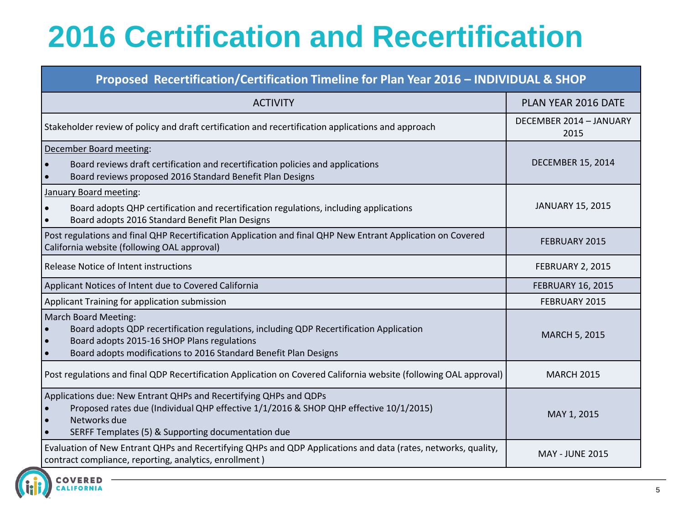# **2016 Certification and Recertification**

#### **Proposed Recertification/Certification Timeline for Plan Year 2016 – INDIVIDUAL & SHOP**

| <b>ACTIVITY</b>                                                                                                                                                                                                                           | PLAN YEAR 2016 DATE             |
|-------------------------------------------------------------------------------------------------------------------------------------------------------------------------------------------------------------------------------------------|---------------------------------|
| Stakeholder review of policy and draft certification and recertification applications and approach                                                                                                                                        | DECEMBER 2014 - JANUARY<br>2015 |
| December Board meeting:<br>Board reviews draft certification and recertification policies and applications<br>Board reviews proposed 2016 Standard Benefit Plan Designs                                                                   | <b>DECEMBER 15, 2014</b>        |
| January Board meeting:<br>Board adopts QHP certification and recertification regulations, including applications<br>Board adopts 2016 Standard Benefit Plan Designs                                                                       | <b>JANUARY 15, 2015</b>         |
| Post regulations and final QHP Recertification Application and final QHP New Entrant Application on Covered<br>California website (following OAL approval)                                                                                | <b>FEBRUARY 2015</b>            |
| Release Notice of Intent instructions                                                                                                                                                                                                     | FEBRUARY 2, 2015                |
| Applicant Notices of Intent due to Covered California                                                                                                                                                                                     | <b>FEBRUARY 16, 2015</b>        |
| Applicant Training for application submission                                                                                                                                                                                             | <b>FEBRUARY 2015</b>            |
| <b>March Board Meeting:</b><br>Board adopts QDP recertification regulations, including QDP Recertification Application<br>Board adopts 2015-16 SHOP Plans regulations<br>Board adopts modifications to 2016 Standard Benefit Plan Designs | <b>MARCH 5, 2015</b>            |
| Post regulations and final QDP Recertification Application on Covered California website (following OAL approval)                                                                                                                         | <b>MARCH 2015</b>               |
| Applications due: New Entrant QHPs and Recertifying QHPs and QDPs<br>Proposed rates due (Individual QHP effective 1/1/2016 & SHOP QHP effective 10/1/2015)<br>Networks due<br>SERFF Templates (5) & Supporting documentation due          | MAY 1, 2015                     |
| Evaluation of New Entrant QHPs and Recertifying QHPs and QDP Applications and data (rates, networks, quality,<br>contract compliance, reporting, analytics, enrollment)                                                                   | <b>MAY - JUNE 2015</b>          |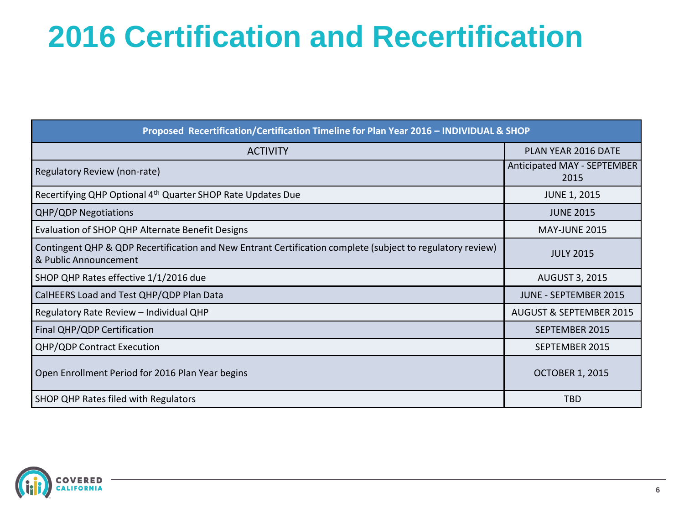# **2016 Certification and Recertification**

| Proposed Recertification/Certification Timeline for Plan Year 2016 - INDIVIDUAL & SHOP                                              |                                     |  |  |  |  |
|-------------------------------------------------------------------------------------------------------------------------------------|-------------------------------------|--|--|--|--|
| <b>ACTIVITY</b>                                                                                                                     | PLAN YEAR 2016 DATE                 |  |  |  |  |
| Regulatory Review (non-rate)                                                                                                        | Anticipated MAY - SEPTEMBER<br>2015 |  |  |  |  |
| Recertifying QHP Optional 4 <sup>th</sup> Quarter SHOP Rate Updates Due                                                             | <b>JUNE 1, 2015</b>                 |  |  |  |  |
| <b>QHP/QDP Negotiations</b>                                                                                                         | <b>JUNE 2015</b>                    |  |  |  |  |
| Evaluation of SHOP QHP Alternate Benefit Designs                                                                                    | <b>MAY-JUNE 2015</b>                |  |  |  |  |
| Contingent QHP & QDP Recertification and New Entrant Certification complete (subject to regulatory review)<br>& Public Announcement | <b>JULY 2015</b>                    |  |  |  |  |
| SHOP QHP Rates effective 1/1/2016 due                                                                                               | <b>AUGUST 3, 2015</b>               |  |  |  |  |
| CalHEERS Load and Test QHP/QDP Plan Data                                                                                            | <b>JUNE - SEPTEMBER 2015</b>        |  |  |  |  |
| Regulatory Rate Review - Individual QHP                                                                                             | <b>AUGUST &amp; SEPTEMBER 2015</b>  |  |  |  |  |
| Final QHP/QDP Certification                                                                                                         | SEPTEMBER 2015                      |  |  |  |  |
| <b>QHP/QDP Contract Execution</b>                                                                                                   | SEPTEMBER 2015                      |  |  |  |  |
| Open Enrollment Period for 2016 Plan Year begins                                                                                    | <b>OCTOBER 1, 2015</b>              |  |  |  |  |
| SHOP QHP Rates filed with Regulators                                                                                                | <b>TBD</b>                          |  |  |  |  |

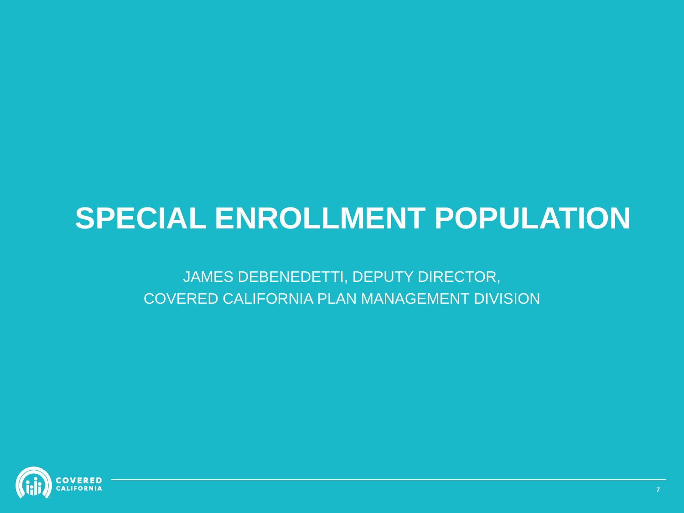## **SPECIAL ENROLLMENT POPULATION**

JAMES DEBENEDETTI, DEPUTY DIRECTOR, COVERED CALIFORNIA PLAN MANAGEMENT DIVISION

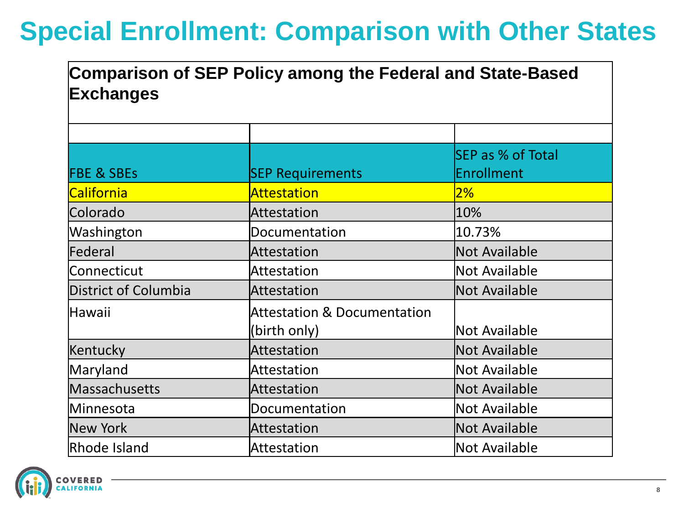## **Special Enrollment: Comparison with Other States**

### **Comparison of SEP Policy among the Federal and State-Based Exchanges**

| <b>FBE &amp; SBEs</b> | <b>SEP Requirements</b>                                | SEP as % of Total<br>Enrollment |
|-----------------------|--------------------------------------------------------|---------------------------------|
| <b>California</b>     | Attestation                                            | 2%                              |
| Colorado              | Attestation                                            | 10%                             |
| Washington            | Documentation                                          | 10.73%                          |
| Federal               | Attestation                                            | Not Available                   |
| Connecticut           | <b>Attestation</b>                                     | Not Available                   |
| District of Columbia  | Attestation                                            | Not Available                   |
| Hawaii                | <b>Attestation &amp; Documentation</b><br>(birth only) | Not Available                   |
| Kentucky              | Attestation                                            | Not Available                   |
| Maryland              | <b>Attestation</b>                                     | Not Available                   |
| Massachusetts         | Attestation                                            | Not Available                   |
| Minnesota             | Documentation                                          | Not Available                   |
| New York              | Attestation                                            | Not Available                   |
| Rhode Island          | <b>Attestation</b>                                     | Not Available                   |

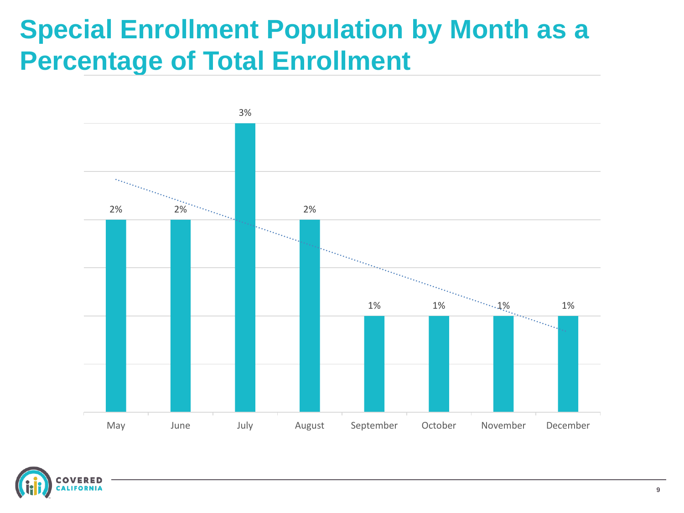### **Special Enrollment Population by Month as a Percentage of Total Enrollment**



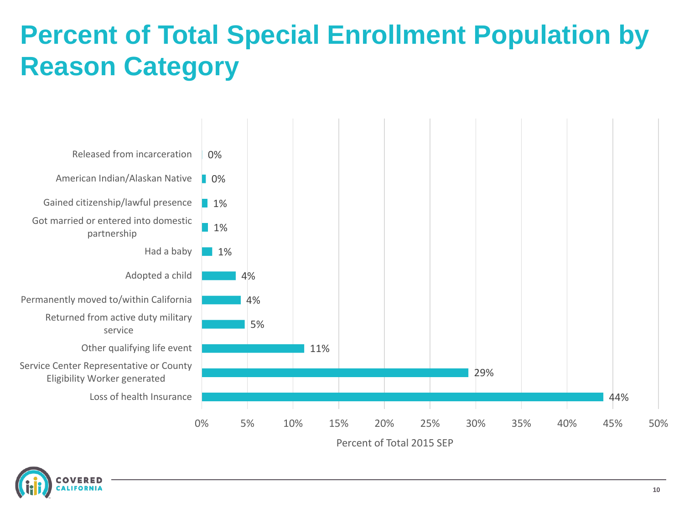## **Percent of Total Special Enrollment Population by Reason Category**



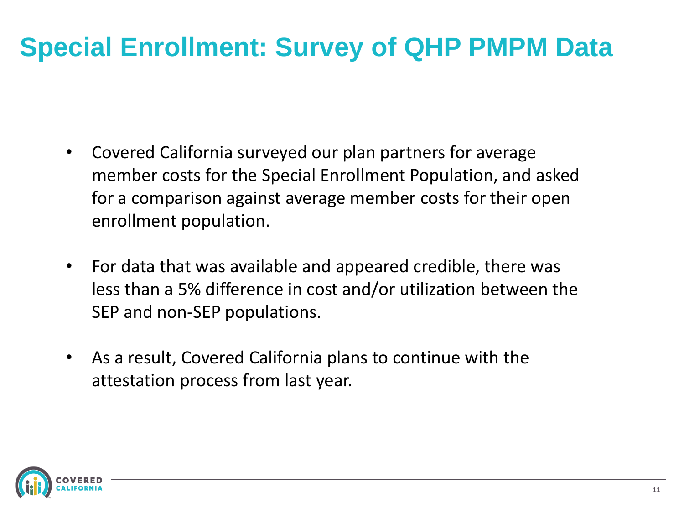## **Special Enrollment: Survey of QHP PMPM Data**

- Covered California surveyed our plan partners for average member costs for the Special Enrollment Population, and asked for a comparison against average member costs for their open enrollment population.
- For data that was available and appeared credible, there was less than a 5% difference in cost and/or utilization between the SEP and non-SEP populations.
- As a result, Covered California plans to continue with the attestation process from last year.

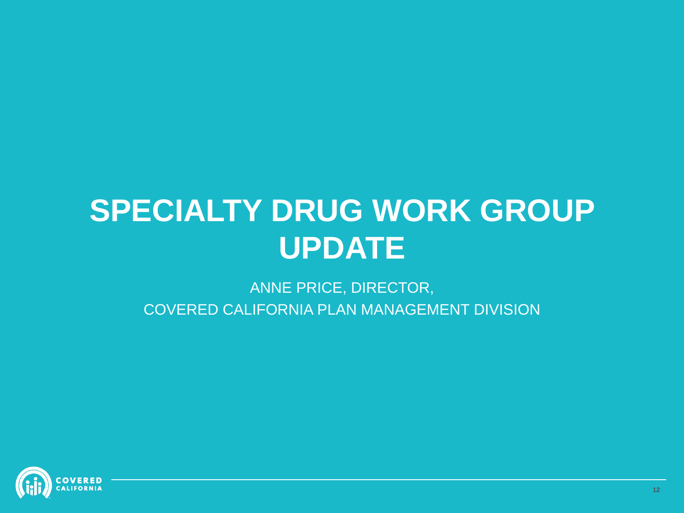## **SPECIALTY DRUG WORK GROUP UPDATE**

ANNE PRICE, DIRECTOR, COVERED CALIFORNIA PLAN MANAGEMENT DIVISION

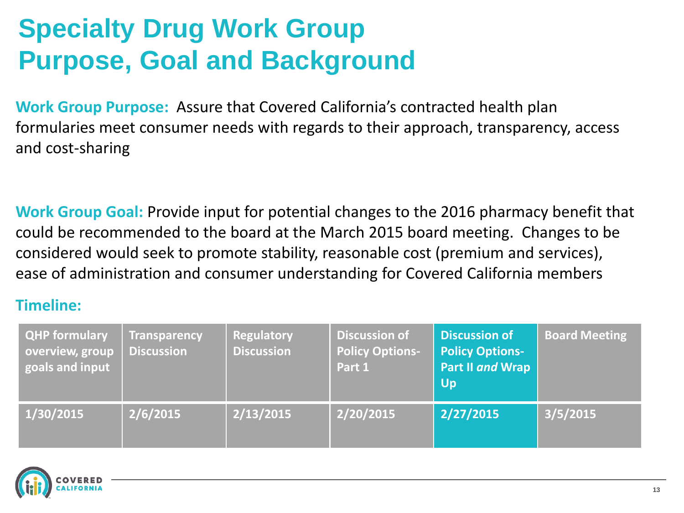## **Specialty Drug Work Group Purpose, Goal and Background**

**Work Group Purpose:** Assure that Covered California's contracted health plan formularies meet consumer needs with regards to their approach, transparency, access and cost-sharing

**Work Group Goal:** Provide input for potential changes to the 2016 pharmacy benefit that could be recommended to the board at the March 2015 board meeting. Changes to be considered would seek to promote stability, reasonable cost (premium and services), ease of administration and consumer understanding for Covered California members

#### **Timeline:**

| <b>QHP formulary</b><br>overview, group<br>goals and input | <b>Transparency</b><br><b>Discussion</b> | Regulatory<br><b>Discussion</b> | <b>Discussion of</b><br><b>Policy Options-</b><br>Part 1 | <b>Discussion of</b><br><b>Policy Options-</b><br>Part II and Wrap<br><b>Up</b> | <b>Board Meeting</b> |
|------------------------------------------------------------|------------------------------------------|---------------------------------|----------------------------------------------------------|---------------------------------------------------------------------------------|----------------------|
| 1/30/2015                                                  | 2/6/2015                                 | 2/13/2015                       | 2/20/2015                                                | 2/27/2015                                                                       | 3/5/2015             |

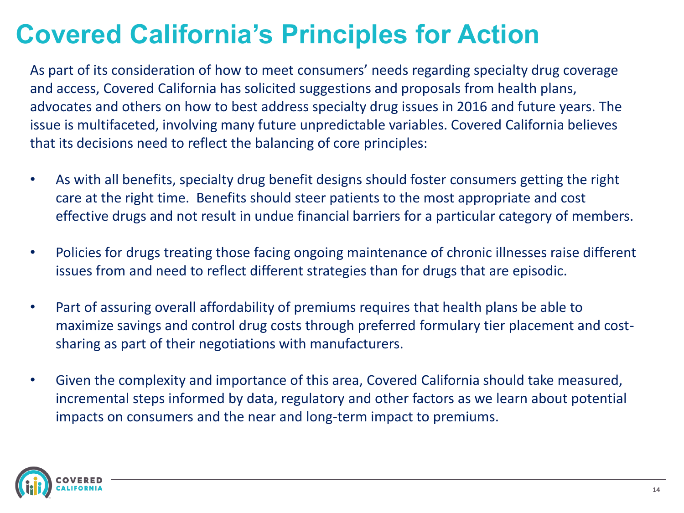### **Covered California's Principles for Action**

As part of its consideration of how to meet consumers' needs regarding specialty drug coverage and access, Covered California has solicited suggestions and proposals from health plans, advocates and others on how to best address specialty drug issues in 2016 and future years. The issue is multifaceted, involving many future unpredictable variables. Covered California believes that its decisions need to reflect the balancing of core principles:

- As with all benefits, specialty drug benefit designs should foster consumers getting the right care at the right time. Benefits should steer patients to the most appropriate and cost effective drugs and not result in undue financial barriers for a particular category of members.
- Policies for drugs treating those facing ongoing maintenance of chronic illnesses raise different issues from and need to reflect different strategies than for drugs that are episodic.
- Part of assuring overall affordability of premiums requires that health plans be able to maximize savings and control drug costs through preferred formulary tier placement and costsharing as part of their negotiations with manufacturers.
- Given the complexity and importance of this area, Covered California should take measured, incremental steps informed by data, regulatory and other factors as we learn about potential impacts on consumers and the near and long-term impact to premiums.

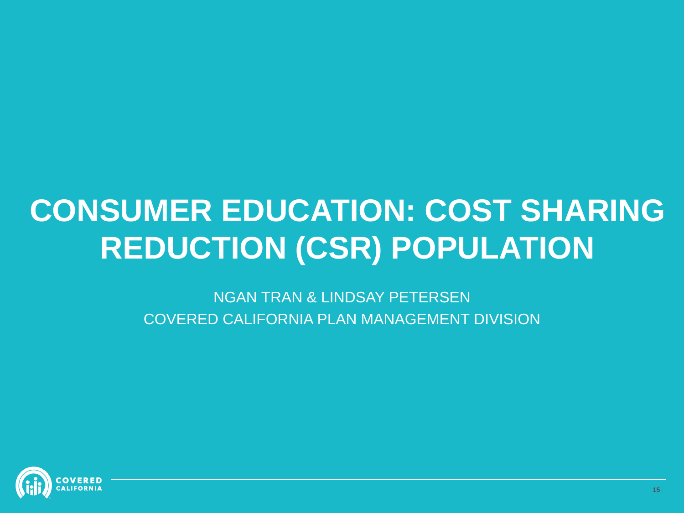# **CONSUMER EDUCATION: COST SHARING REDUCTION (CSR) POPULATION**

NGAN TRAN & LINDSAY PETERSEN COVERED CALIFORNIA PLAN MANAGEMENT DIVISION

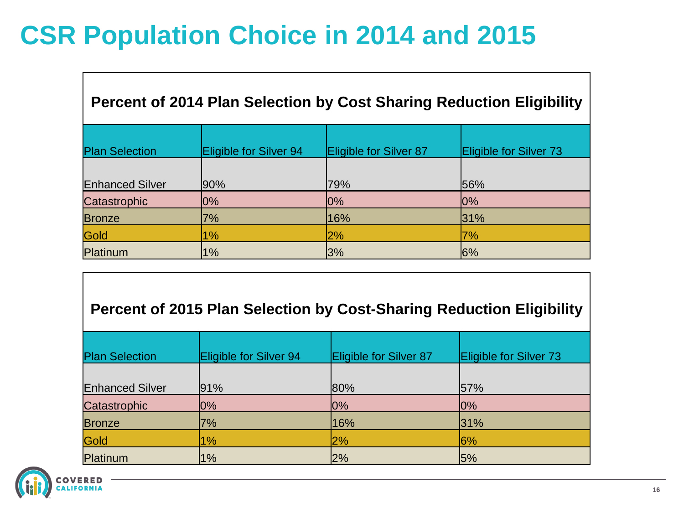## **CSR Population Choice in 2014 and 2015**

| <b>Percent of 2014 Plan Selection by Cost Sharing Reduction Eligibility</b> |                        |                        |                        |  |  |  |
|-----------------------------------------------------------------------------|------------------------|------------------------|------------------------|--|--|--|
| <b>Plan Selection</b>                                                       | Eligible for Silver 94 | Eligible for Silver 87 | Eligible for Silver 73 |  |  |  |
| <b>Enhanced Silver</b>                                                      | $ 90\%$                | 79%                    | 56%                    |  |  |  |
| Catastrophic                                                                | $ 0\%$                 | $10\%$                 | $10\%$                 |  |  |  |
| <b>Bronze</b>                                                               | 7%                     | 16%                    | 31%                    |  |  |  |
| Gold                                                                        | 1%                     | 2%                     | 7%                     |  |  |  |
| Platinum                                                                    | 1%                     | 3%                     | 16%                    |  |  |  |

#### **Percent of 2015 Plan Selection by Cost-Sharing Reduction Eligibility**

| <b>Plan Selection</b>  | Eligible for Silver 94 | Eligible for Silver 87 | Eligible for Silver 73 |
|------------------------|------------------------|------------------------|------------------------|
| <b>Enhanced Silver</b> | 91%                    | 80%                    | 57%                    |
| Catastrophic           | $ 0\%$                 | 0%                     | 10%                    |
| <b>Bronze</b>          | 7%                     | 16%                    | 31%                    |
| Gold                   | 1%                     | 2%                     | 6%                     |
| Platinum               | 1%                     | 2%                     | 5%                     |

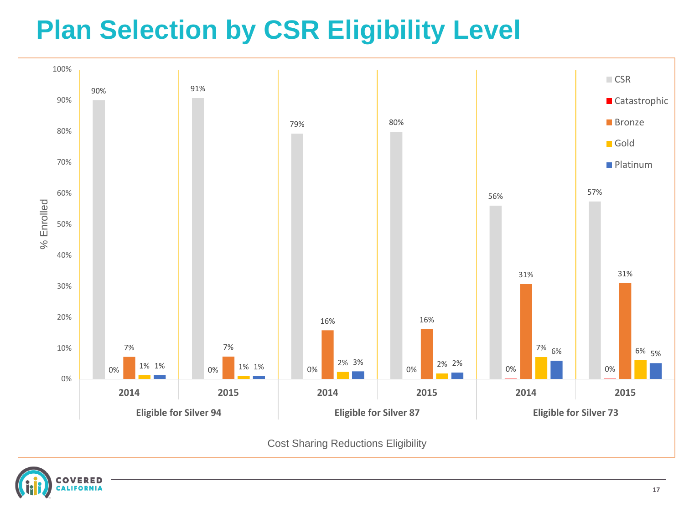## **Plan Selection by CSR Eligibility Level**



Cost Sharing Reductions Eligibility

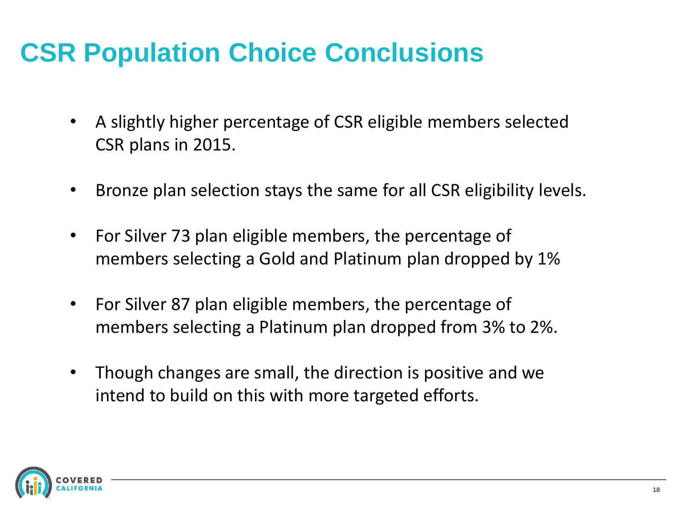## **CSR Population Choice Conclusions**

- A slightly higher percentage of CSR eligible members selected CSR plans in 2015.
- Bronze plan selection stays the same for all CSR eligibility levels.
- For Silver 73 plan eligible members, the percentage of members selecting a Gold and Platinum plan dropped by 1%
- For Silver 87 plan eligible members, the percentage of members selecting a Platinum plan dropped from 3% to 2%.
- Though changes are small, the direction is positive and we intend to build on this with more targeted efforts.

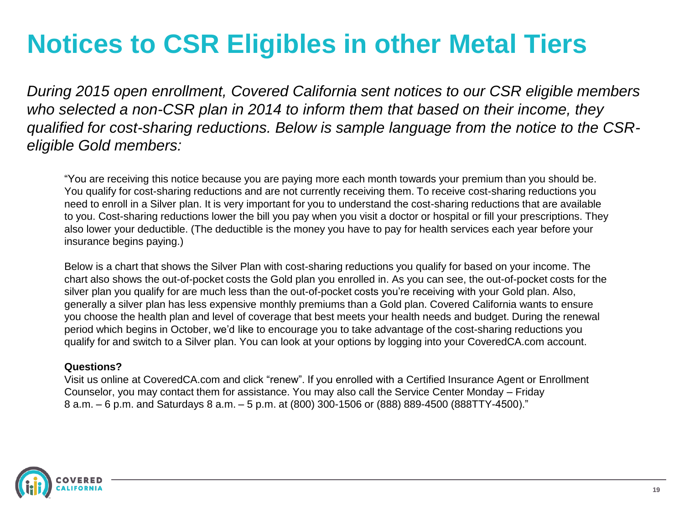### **Notices to CSR Eligibles in other Metal Tiers**

*During 2015 open enrollment, Covered California sent notices to our CSR eligible members who selected a non-CSR plan in 2014 to inform them that based on their income, they qualified for cost-sharing reductions. Below is sample language from the notice to the CSReligible Gold members:*

"You are receiving this notice because you are paying more each month towards your premium than you should be. You qualify for cost-sharing reductions and are not currently receiving them. To receive cost-sharing reductions you need to enroll in a Silver plan. It is very important for you to understand the cost-sharing reductions that are available to you. Cost-sharing reductions lower the bill you pay when you visit a doctor or hospital or fill your prescriptions. They also lower your deductible. (The deductible is the money you have to pay for health services each year before your insurance begins paying.)

Below is a chart that shows the Silver Plan with cost-sharing reductions you qualify for based on your income. The chart also shows the out-of-pocket costs the Gold plan you enrolled in. As you can see, the out-of-pocket costs for the silver plan you qualify for are much less than the out-of-pocket costs you're receiving with your Gold plan. Also, generally a silver plan has less expensive monthly premiums than a Gold plan. Covered California wants to ensure you choose the health plan and level of coverage that best meets your health needs and budget. During the renewal period which begins in October, we'd like to encourage you to take advantage of the cost-sharing reductions you qualify for and switch to a Silver plan. You can look at your options by logging into your CoveredCA.com account.

#### **Questions?**

Visit us online at CoveredCA.com and click "renew". If you enrolled with a Certified Insurance Agent or Enrollment Counselor, you may contact them for assistance. You may also call the Service Center Monday – Friday 8 a.m. – 6 p.m. and Saturdays 8 a.m. – 5 p.m. at (800) 300-1506 or (888) 889-4500 (888TTY-4500)."

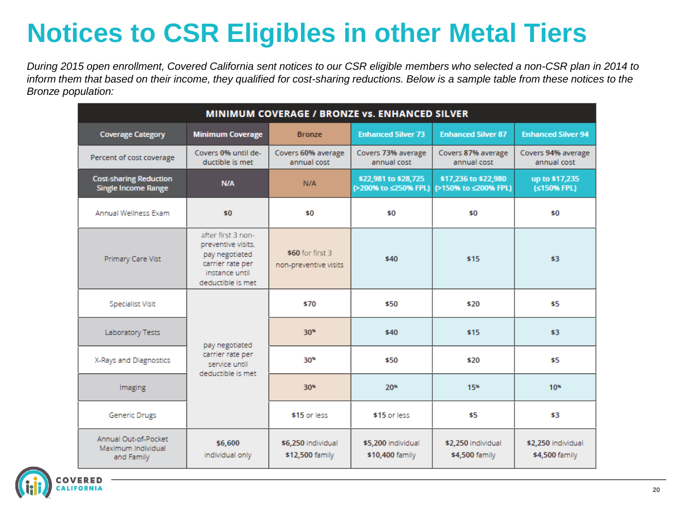## **Notices to CSR Eligibles in other Metal Tiers**

*During 2015 open enrollment, Covered California sent notices to our CSR eligible members who selected a non-CSR plan in 2014 to inform them that based on their income, they qualified for cost-sharing reductions. Below is a sample table from these notices to the Bronze population:*

| <b>MINIMUM COVERAGE / BRONZE VS. ENHANCED SILVER</b>        |                                                                                                                       |                                           |                                              |                                              |                                      |  |
|-------------------------------------------------------------|-----------------------------------------------------------------------------------------------------------------------|-------------------------------------------|----------------------------------------------|----------------------------------------------|--------------------------------------|--|
| <b>Coverage Category</b>                                    | <b>Minimum Coverage</b>                                                                                               | <b>Bronze</b>                             | <b>Enhanced Silver 73</b>                    | <b>Enhanced Silver 87</b>                    | <b>Enhanced Silver 94</b>            |  |
| Percent of cost coverage                                    | Covers 0% until de-<br>ductible is met                                                                                | Covers 60% average<br>annual cost         | Covers 73% average<br>annual cost            | Covers 87% average<br>annual cost            | Covers 94% average<br>annual cost    |  |
| <b>Cost-sharing Reduction</b><br><b>Single Income Range</b> | N/A                                                                                                                   | N/A                                       | \$22,981 to \$28,725<br>(>200% to ≤250% FPL) | \$17,236 to \$22,980<br>(>150% to ≤200% FPL) | up to \$17,235<br>(≤150% FPL)        |  |
| Annual Wellness Exam                                        | \$0                                                                                                                   | \$0                                       | \$0                                          | \$0                                          | \$0                                  |  |
| Primary Care Vist                                           | after first 3 non-<br>preventive visits.<br>pay negotiated<br>carrier rate per<br>instance until<br>deductible is met | \$60 for first 3<br>non-preventive visits | \$40                                         | \$15                                         | \$3                                  |  |
| Specialist Visit                                            | pay negotiated<br>carrier rate per<br>service until<br>deductible is met                                              | \$70                                      | \$50                                         | \$20                                         | \$5                                  |  |
| Laboratory Tests                                            |                                                                                                                       | $30*$                                     | \$40                                         | \$15                                         | \$3                                  |  |
| X-Rays and Diagnostics                                      |                                                                                                                       | $30*$                                     | \$50                                         | \$20                                         | \$5                                  |  |
| Imaging                                                     |                                                                                                                       | $30*$                                     | $20*$                                        | 15%                                          | $10*$                                |  |
| Generic Drugs                                               |                                                                                                                       | \$15 or less                              | \$15 or less                                 | \$5                                          | \$3                                  |  |
| Annual Out-of-Pocket<br>Maximum Individual<br>and Family    | \$6,600<br>individual only                                                                                            | \$6,250 individual<br>\$12,500 family     | \$5,200 individual<br>\$10,400 family        | \$2,250 individual<br>\$4,500 family         | \$2,250 individual<br>\$4,500 family |  |

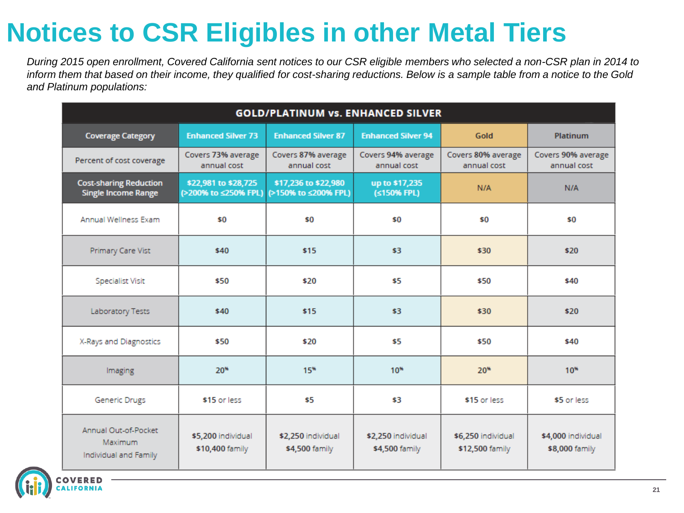## **Notices to CSR Eligibles in other Metal Tiers**

*During 2015 open enrollment, Covered California sent notices to our CSR eligible members who selected a non-CSR plan in 2014 to inform them that based on their income, they qualified for cost-sharing reductions. Below is a sample table from a notice to the Gold and Platinum populations:*

| <b>GOLD/PLATINUM vs. ENHANCED SILVER</b>                    |                                              |                                              |                                      |                                       |                                      |  |
|-------------------------------------------------------------|----------------------------------------------|----------------------------------------------|--------------------------------------|---------------------------------------|--------------------------------------|--|
| <b>Coverage Category</b>                                    | <b>Enhanced Silver 73</b>                    | <b>Enhanced Silver 87</b>                    | <b>Enhanced Silver 94</b>            | Gold                                  | <b>Platinum</b>                      |  |
| Percent of cost coverage                                    | Covers 73% average<br>annual cost            | Covers 87% average<br>annual cost            | Covers 94% average<br>annual cost    | Covers 80% average<br>annual cost     | Covers 90% average<br>annual cost    |  |
| <b>Cost-sharing Reduction</b><br><b>Single Income Range</b> | \$22,981 to \$28,725<br>(>200% to ≤250% FPL) | \$17,236 to \$22,980<br>(>150% to ≤200% FPL) | up to \$17,235<br>(≤150% FPL)        | N/A                                   | N/A                                  |  |
| Annual Wellness Exam                                        | \$0                                          | \$0                                          | \$0                                  | \$0                                   | \$0                                  |  |
| Primary Care Vist                                           | \$40                                         | \$15                                         | \$3                                  | \$30                                  | \$20                                 |  |
| Specialist Visit                                            | \$50                                         | \$20                                         | \$5                                  | \$50                                  | \$40                                 |  |
| Laboratory Tests                                            | \$40                                         | \$15                                         | \$3                                  | \$30                                  | \$20                                 |  |
| X-Rays and Diagnostics                                      | \$50                                         | \$20                                         | \$5                                  | \$50                                  | \$40                                 |  |
| Imaging                                                     | $20*$                                        | 15*                                          | $10*$                                | $20*$                                 | $10*$                                |  |
| Generic Drugs                                               | \$15 or less                                 | \$5                                          | \$3                                  | \$15 or less                          | \$5 or less                          |  |
| Annual Out-of-Pocket<br>Maximum<br>Individual and Family    | \$5,200 individual<br>\$10,400 family        | \$2,250 individual<br>\$4,500 family         | \$2,250 individual<br>\$4,500 family | \$6,250 individual<br>\$12,500 family | \$4,000 individual<br>\$8,000 family |  |



**21**